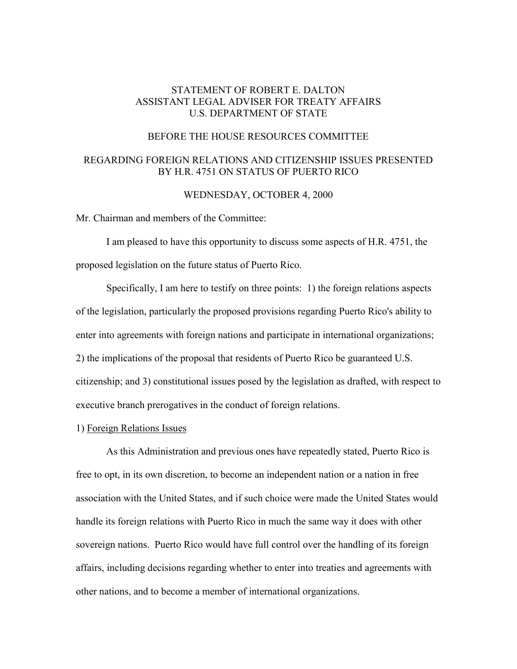## STATEMENT OF ROBERT E. DALTON ASSISTANT LEGAL ADVISER FOR TREATY AFFAIRS U.S. DEPARTMENT OF STATE

#### BEFORE THE HOUSE RESOURCES COMMITTEE

# REGARDING FOREIGN RELATIONS AND CITIZENSHIP ISSUES PRESENTED BY H.R. 4751 ON STATUS OF PUERTO RICO

### WEDNESDAY, OCTOBER 4, 2000

Mr. Chairman and members of the Committee:

I am pleased to have this opportunity to discuss some aspects of H.R. 4751, the proposed legislation on the future status of Puerto Rico.

Specifically, I am here to testify on three points: 1) the foreign relations aspects of the legislation, particularly the proposed provisions regarding Puerto Rico's ability to enter into agreements with foreign nations and participate in international organizations; 2) the implications of the proposal that residents of Puerto Rico be guaranteed U.S. citizenship; and 3) constitutional issues posed by the legislation as drafted, with respect to executive branch prerogatives in the conduct of foreign relations.

#### 1) Foreign Relations Issues

 As this Administration and previous ones have repeatedly stated, Puerto Rico is free to opt, in its own discretion, to become an independent nation or a nation in free association with the United States, and if such choice were made the United States would handle its foreign relations with Puerto Rico in much the same way it does with other sovereign nations. Puerto Rico would have full control over the handling of its foreign affairs, including decisions regarding whether to enter into treaties and agreements with other nations, and to become a member of international organizations.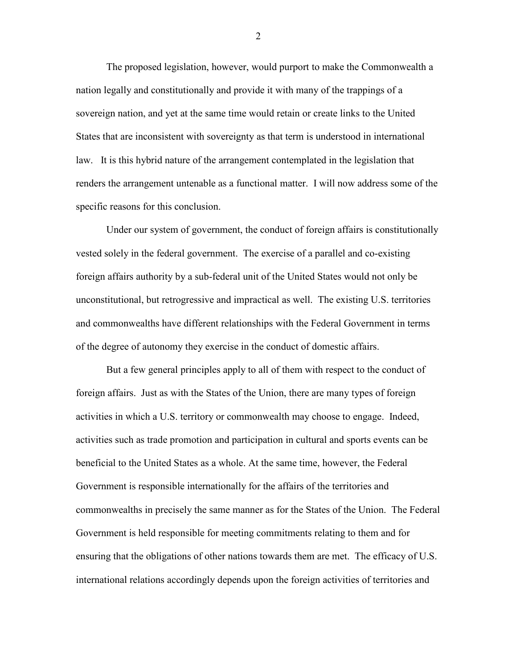The proposed legislation, however, would purport to make the Commonwealth a nation legally and constitutionally and provide it with many of the trappings of a sovereign nation, and yet at the same time would retain or create links to the United States that are inconsistent with sovereignty as that term is understood in international law. It is this hybrid nature of the arrangement contemplated in the legislation that renders the arrangement untenable as a functional matter. I will now address some of the specific reasons for this conclusion.

Under our system of government, the conduct of foreign affairs is constitutionally vested solely in the federal government. The exercise of a parallel and co-existing foreign affairs authority by a sub-federal unit of the United States would not only be unconstitutional, but retrogressive and impractical as well. The existing U.S. territories and commonwealths have different relationships with the Federal Government in terms of the degree of autonomy they exercise in the conduct of domestic affairs.

But a few general principles apply to all of them with respect to the conduct of foreign affairs. Just as with the States of the Union, there are many types of foreign activities in which a U.S. territory or commonwealth may choose to engage. Indeed, activities such as trade promotion and participation in cultural and sports events can be beneficial to the United States as a whole. At the same time, however, the Federal Government is responsible internationally for the affairs of the territories and commonwealths in precisely the same manner as for the States of the Union. The Federal Government is held responsible for meeting commitments relating to them and for ensuring that the obligations of other nations towards them are met. The efficacy of U.S. international relations accordingly depends upon the foreign activities of territories and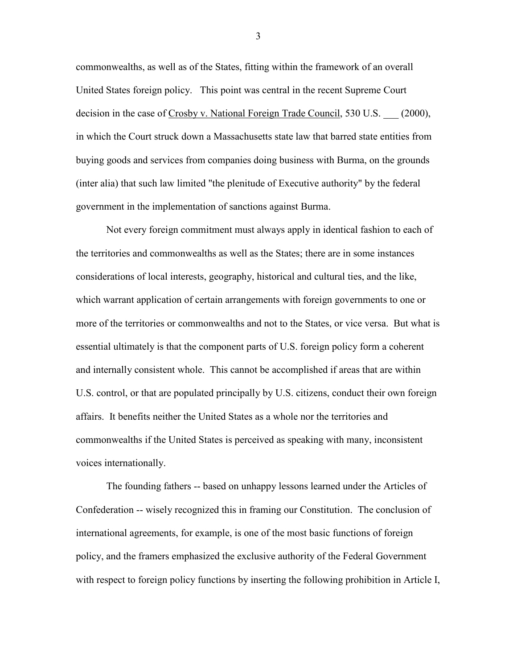commonwealths, as well as of the States, fitting within the framework of an overall United States foreign policy. This point was central in the recent Supreme Court decision in the case of Crosby v. National Foreign Trade Council, 530 U.S. (2000), in which the Court struck down a Massachusetts state law that barred state entities from buying goods and services from companies doing business with Burma, on the grounds (inter alia) that such law limited "the plenitude of Executive authority" by the federal government in the implementation of sanctions against Burma.

Not every foreign commitment must always apply in identical fashion to each of the territories and commonwealths as well as the States; there are in some instances considerations of local interests, geography, historical and cultural ties, and the like, which warrant application of certain arrangements with foreign governments to one or more of the territories or commonwealths and not to the States, or vice versa. But what is essential ultimately is that the component parts of U.S. foreign policy form a coherent and internally consistent whole. This cannot be accomplished if areas that are within U.S. control, or that are populated principally by U.S. citizens, conduct their own foreign affairs. It benefits neither the United States as a whole nor the territories and commonwealths if the United States is perceived as speaking with many, inconsistent voices internationally.

 The founding fathers -- based on unhappy lessons learned under the Articles of Confederation -- wisely recognized this in framing our Constitution. The conclusion of international agreements, for example, is one of the most basic functions of foreign policy, and the framers emphasized the exclusive authority of the Federal Government with respect to foreign policy functions by inserting the following prohibition in Article I,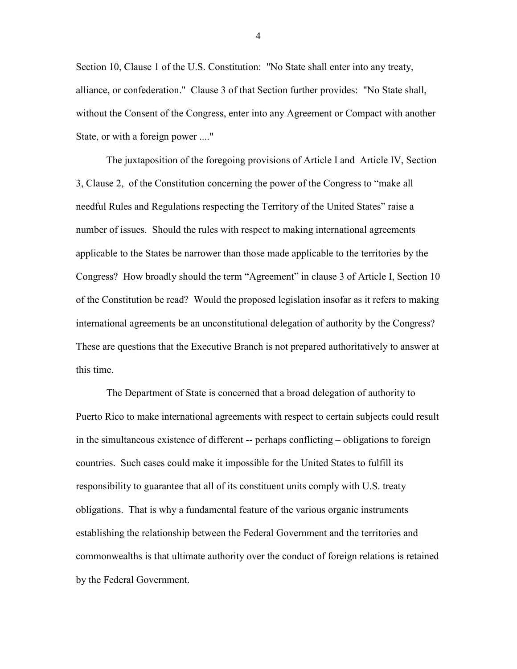Section 10, Clause 1 of the U.S. Constitution: "No State shall enter into any treaty, alliance, or confederation." Clause 3 of that Section further provides: "No State shall, without the Consent of the Congress, enter into any Agreement or Compact with another State, or with a foreign power ...."

The juxtaposition of the foregoing provisions of Article I and Article IV, Section 3, Clause 2, of the Constitution concerning the power of the Congress to "make all needful Rules and Regulations respecting the Territory of the United States" raise a number of issues. Should the rules with respect to making international agreements applicable to the States be narrower than those made applicable to the territories by the Congress? How broadly should the term "Agreement" in clause 3 of Article I, Section 10 of the Constitution be read? Would the proposed legislation insofar as it refers to making international agreements be an unconstitutional delegation of authority by the Congress? These are questions that the Executive Branch is not prepared authoritatively to answer at this time.

The Department of State is concerned that a broad delegation of authority to Puerto Rico to make international agreements with respect to certain subjects could result in the simultaneous existence of different -- perhaps conflicting – obligations to foreign countries. Such cases could make it impossible for the United States to fulfill its responsibility to guarantee that all of its constituent units comply with U.S. treaty obligations. That is why a fundamental feature of the various organic instruments establishing the relationship between the Federal Government and the territories and commonwealths is that ultimate authority over the conduct of foreign relations is retained by the Federal Government.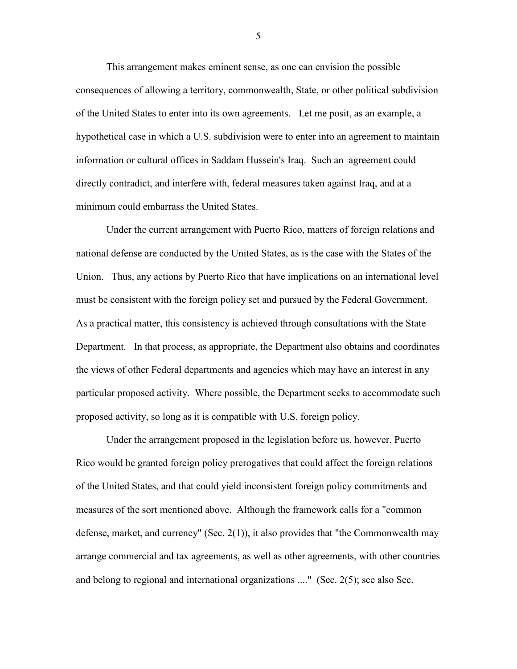This arrangement makes eminent sense, as one can envision the possible consequences of allowing a territory, commonwealth, State, or other political subdivision of the United States to enter into its own agreements. Let me posit, as an example, a hypothetical case in which a U.S. subdivision were to enter into an agreement to maintain information or cultural offices in Saddam Hussein's Iraq. Such an agreement could directly contradict, and interfere with, federal measures taken against Iraq, and at a minimum could embarrass the United States.

Under the current arrangement with Puerto Rico, matters of foreign relations and national defense are conducted by the United States, as is the case with the States of the Union. Thus, any actions by Puerto Rico that have implications on an international level must be consistent with the foreign policy set and pursued by the Federal Government. As a practical matter, this consistency is achieved through consultations with the State Department. In that process, as appropriate, the Department also obtains and coordinates the views of other Federal departments and agencies which may have an interest in any particular proposed activity. Where possible, the Department seeks to accommodate such proposed activity, so long as it is compatible with U.S. foreign policy.

Under the arrangement proposed in the legislation before us, however, Puerto Rico would be granted foreign policy prerogatives that could affect the foreign relations of the United States, and that could yield inconsistent foreign policy commitments and measures of the sort mentioned above. Although the framework calls for a "common defense, market, and currency" (Sec. 2(1)), it also provides that "the Commonwealth may arrange commercial and tax agreements, as well as other agreements, with other countries and belong to regional and international organizations ...." (Sec. 2(5); see also Sec.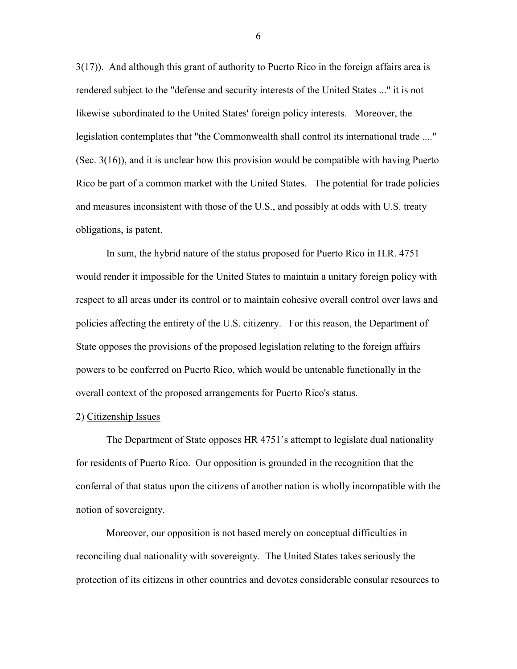3(17)). And although this grant of authority to Puerto Rico in the foreign affairs area is rendered subject to the "defense and security interests of the United States ..." it is not likewise subordinated to the United States' foreign policy interests. Moreover, the legislation contemplates that "the Commonwealth shall control its international trade ...." (Sec. 3(16)), and it is unclear how this provision would be compatible with having Puerto Rico be part of a common market with the United States. The potential for trade policies and measures inconsistent with those of the U.S., and possibly at odds with U.S. treaty obligations, is patent.

In sum, the hybrid nature of the status proposed for Puerto Rico in H.R. 4751 would render it impossible for the United States to maintain a unitary foreign policy with respect to all areas under its control or to maintain cohesive overall control over laws and policies affecting the entirety of the U.S. citizenry. For this reason, the Department of State opposes the provisions of the proposed legislation relating to the foreign affairs powers to be conferred on Puerto Rico, which would be untenable functionally in the overall context of the proposed arrangements for Puerto Rico's status.

### 2) Citizenship Issues

The Department of State opposes HR 4751's attempt to legislate dual nationality for residents of Puerto Rico. Our opposition is grounded in the recognition that the conferral of that status upon the citizens of another nation is wholly incompatible with the notion of sovereignty.

Moreover, our opposition is not based merely on conceptual difficulties in reconciling dual nationality with sovereignty. The United States takes seriously the protection of its citizens in other countries and devotes considerable consular resources to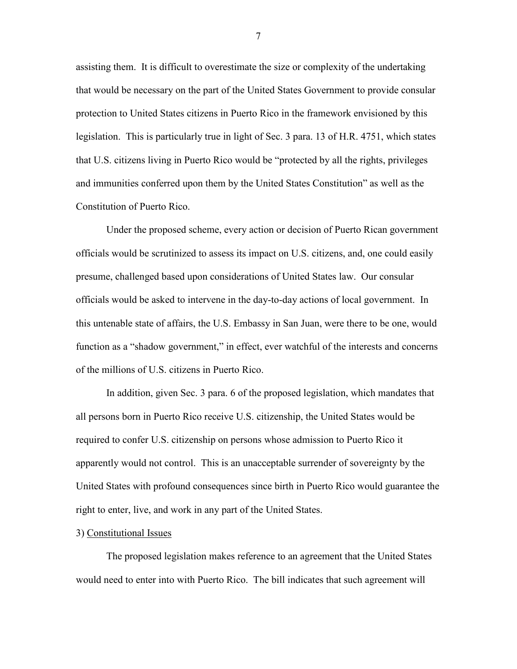assisting them. It is difficult to overestimate the size or complexity of the undertaking that would be necessary on the part of the United States Government to provide consular protection to United States citizens in Puerto Rico in the framework envisioned by this legislation. This is particularly true in light of Sec. 3 para. 13 of H.R. 4751, which states that U.S. citizens living in Puerto Rico would be "protected by all the rights, privileges and immunities conferred upon them by the United States Constitution" as well as the Constitution of Puerto Rico.

Under the proposed scheme, every action or decision of Puerto Rican government officials would be scrutinized to assess its impact on U.S. citizens, and, one could easily presume, challenged based upon considerations of United States law. Our consular officials would be asked to intervene in the day-to-day actions of local government. In this untenable state of affairs, the U.S. Embassy in San Juan, were there to be one, would function as a "shadow government," in effect, ever watchful of the interests and concerns of the millions of U.S. citizens in Puerto Rico.

In addition, given Sec. 3 para. 6 of the proposed legislation, which mandates that all persons born in Puerto Rico receive U.S. citizenship, the United States would be required to confer U.S. citizenship on persons whose admission to Puerto Rico it apparently would not control. This is an unacceptable surrender of sovereignty by the United States with profound consequences since birth in Puerto Rico would guarantee the right to enter, live, and work in any part of the United States.

#### 3) Constitutional Issues

The proposed legislation makes reference to an agreement that the United States would need to enter into with Puerto Rico. The bill indicates that such agreement will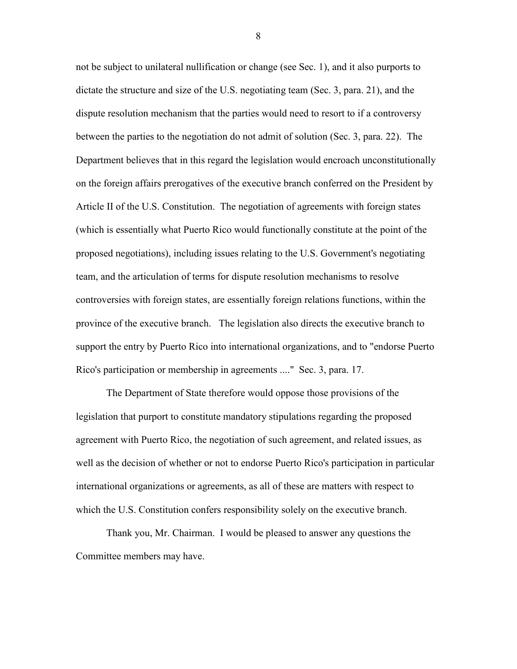not be subject to unilateral nullification or change (see Sec. 1), and it also purports to dictate the structure and size of the U.S. negotiating team (Sec. 3, para. 21), and the dispute resolution mechanism that the parties would need to resort to if a controversy between the parties to the negotiation do not admit of solution (Sec. 3, para. 22). The Department believes that in this regard the legislation would encroach unconstitutionally on the foreign affairs prerogatives of the executive branch conferred on the President by Article II of the U.S. Constitution. The negotiation of agreements with foreign states (which is essentially what Puerto Rico would functionally constitute at the point of the proposed negotiations), including issues relating to the U.S. Government's negotiating team, and the articulation of terms for dispute resolution mechanisms to resolve controversies with foreign states, are essentially foreign relations functions, within the province of the executive branch. The legislation also directs the executive branch to support the entry by Puerto Rico into international organizations, and to "endorse Puerto Rico's participation or membership in agreements ...." Sec. 3, para. 17.

The Department of State therefore would oppose those provisions of the legislation that purport to constitute mandatory stipulations regarding the proposed agreement with Puerto Rico, the negotiation of such agreement, and related issues, as well as the decision of whether or not to endorse Puerto Rico's participation in particular international organizations or agreements, as all of these are matters with respect to which the U.S. Constitution confers responsibility solely on the executive branch.

Thank you, Mr. Chairman. I would be pleased to answer any questions the Committee members may have.